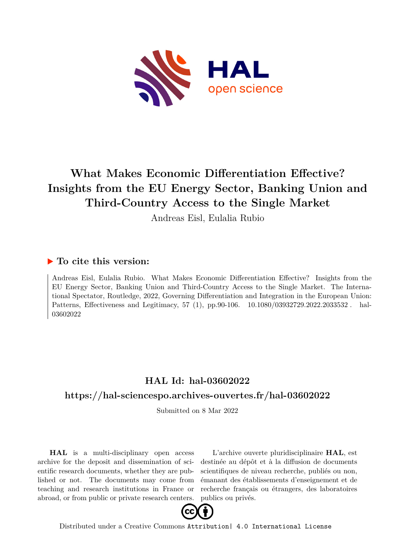

# **What Makes Economic Differentiation Effective? Insights from the EU Energy Sector, Banking Union and Third-Country Access to the Single Market**

Andreas Eisl, Eulalia Rubio

# **To cite this version:**

Andreas Eisl, Eulalia Rubio. What Makes Economic Differentiation Effective? Insights from the EU Energy Sector, Banking Union and Third-Country Access to the Single Market. The International Spectator, Routledge, 2022, Governing Differentiation and Integration in the European Union: Patterns, Effectiveness and Legitimacy, 57 (1), pp.90-106. 10.1080/03932729.2022.2033532. hal-03602022

# **HAL Id: hal-03602022**

# **<https://hal-sciencespo.archives-ouvertes.fr/hal-03602022>**

Submitted on 8 Mar 2022

**HAL** is a multi-disciplinary open access archive for the deposit and dissemination of scientific research documents, whether they are published or not. The documents may come from teaching and research institutions in France or abroad, or from public or private research centers.

L'archive ouverte pluridisciplinaire **HAL**, est destinée au dépôt et à la diffusion de documents scientifiques de niveau recherche, publiés ou non, émanant des établissements d'enseignement et de recherche français ou étrangers, des laboratoires publics ou privés.



Distributed under a Creative Commons [Attribution| 4.0 International License](http://creativecommons.org/licenses/by/4.0/)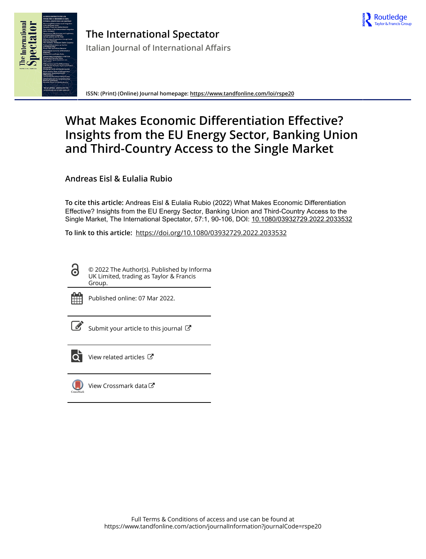



**ISSN: (Print) (Online) Journal homepage:<https://www.tandfonline.com/loi/rspe20>**

# **What Makes Economic Differentiation Effective? Insights from the EU Energy Sector, Banking Union and Third-Country Access to the Single Market**

**Andreas Eisl & Eulalia Rubio**

**To cite this article:** Andreas Eisl & Eulalia Rubio (2022) What Makes Economic Differentiation Effective? Insights from the EU Energy Sector, Banking Union and Third-Country Access to the Single Market, The International Spectator, 57:1, 90-106, DOI: [10.1080/03932729.2022.2033532](https://www.tandfonline.com/action/showCitFormats?doi=10.1080/03932729.2022.2033532)

**To link to this article:** <https://doi.org/10.1080/03932729.2022.2033532>

© 2022 The Author(s). Published by Informa UK Limited, trading as Taylor & Francis Group.



Published online: 07 Mar 2022.

[Submit your article to this journal](https://www.tandfonline.com/action/authorSubmission?journalCode=rspe20&show=instructions)  $\mathbb{Z}$ 



[View related articles](https://www.tandfonline.com/doi/mlt/10.1080/03932729.2022.2033532)  $\mathbb{Z}$ 



[View Crossmark data](http://crossmark.crossref.org/dialog/?doi=10.1080/03932729.2022.2033532&domain=pdf&date_stamp=2022-03-07)<sup>C</sup>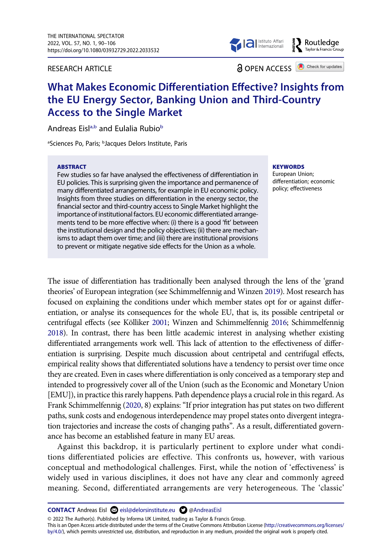RESEARCH ARTICLE



**EXP** Routledge

**a** OPEN ACCESS **a** Check for updates

# **What Makes Economic Differentiation Effective? Insights from the EU Energy Sector, Banking Union and Third-Country Access to the Single Market**

Andreas Eisl<sup>a,[b](#page-2-0)</sup> and Eulalia Rubio<sup>b</sup>

<span id="page-2-0"></span><sup>a</sup>Sciences Po, Paris; <sup>b</sup>Jacques Delors Institute, Paris

#### **ABSTRACT**

Few studies so far have analysed the effectiveness of differentiation in EU policies. This is surprising given the importance and permanence of many differentiated arrangements, for example in EU economic policy. Insights from three studies on differentiation in the energy sector, the financial sector and third-country access to Single Market highlight the importance of institutional factors. EU economic differentiated arrangements tend to be more effective when: (i) there is a good 'fit' between the institutional design and the policy objectives; (ii) there are mechanisms to adapt them over time; and (iii) there are institutional provisions to prevent or mitigate negative side effects for the Union as a whole.

**KEYWORDS** 

European Union; differentiation; economic policy; effectiveness

<span id="page-2-3"></span><span id="page-2-1"></span>The issue of differentiation has traditionally been analysed through the lens of the 'grand theories' of European integration (see Schimmelfennig and Winzen [2019\)](#page-18-0). Most research has focused on explaining the conditions under which member states opt for or against differentiation, or analyse its consequences for the whole EU, that is, its possible centripetal or centrifugal effects (see Kölliker [2001;](#page-17-0) Winzen and Schimmelfennig [2016;](#page-18-1) Schimmelfennig [2018\)](#page-18-2). In contrast, there has been little academic interest in analysing whether existing differentiated arrangements work well. This lack of attention to the effectiveness of differentiation is surprising. Despite much discussion about centripetal and centrifugal effects, empirical reality shows that differentiated solutions have a tendency to persist over time once they are created. Even in cases where differentiation is only conceived as a temporary step and intended to progressively cover all of the Union (such as the Economic and Monetary Union [EMU]), in practice this rarely happens. Path dependence plays a crucial role in this regard. As Frank Schimmelfennig [\(2020](#page-18-3), 8) explains: "If prior integration has put states on two different paths, sunk costs and endogenous interdependence may propel states onto divergent integration trajectories and increase the costs of changing paths". As a result, differentiated governance has become an established feature in many EU areas.

<span id="page-2-2"></span>Against this backdrop, it is particularly pertinent to explore under what conditions differentiated policies are effective. This confronts us, however, with various conceptual and methodological challenges. First, while the notion of 'effectiveness' is widely used in various disciplines, it does not have any clear and commonly agreed meaning. Second, differentiated arrangements are very heterogeneous. The 'classic'

**CONTACT** Andreas Eisl  $\bowtie$  eisl@delorsinstitute.eu  $\bowtie$  [@AndreasEisl](http://twitter.com/AndreasEisl)

© 2022 The Author(s). Published by Informa UK Limited, trading as Taylor & Francis Group.

This is an Open Access article distributed under the terms of the Creative Commons Attribution License (http://creativecommons.org/licenses/ by/4.0/), which permits unrestricted use, distribution, and reproduction in any medium, provided the original work is properly cited.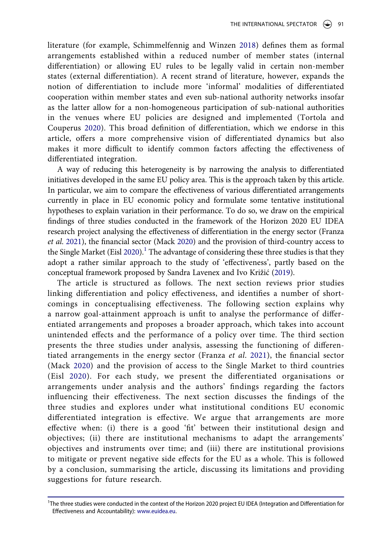literature (for example, Schimmelfennig and Winzen [2018](#page-18-2)) defines them as formal arrangements established within a reduced number of member states (internal differentiation) or allowing EU rules to be legally valid in certain non-member states (external differentiation). A recent strand of literature, however, expands the notion of differentiation to include more 'informal' modalities of differentiated cooperation within member states and even sub-national authority networks insofar as the latter allow for a non-homogeneous participation of sub-national authorities in the venues where EU policies are designed and implemented (Tortola and Couperus [2020\)](#page-18-4). This broad definition of differentiation, which we endorse in this article, offers a more comprehensive vision of differentiated dynamics but also makes it more difficult to identify common factors affecting the effectiveness of differentiated integration.

<span id="page-3-5"></span>A way of reducing this heterogeneity is by narrowing the analysis to differentiated initiatives developed in the same EU policy area. This is the approach taken by this article. In particular, we aim to compare the effectiveness of various differentiated arrangements currently in place in EU economic policy and formulate some tentative institutional hypotheses to explain variation in their performance. To do so, we draw on the empirical findings of three studies conducted in the framework of the Horizon 2020 EU IDEA research project analysing the effectiveness of differentiation in the energy sector (Franza *et al*. [2021\)](#page-17-1), the financial sector (Mack [2020\)](#page-18-5) and the provision of third-country access to the Single Market (Eisl [2020](#page-17-2)).<sup>1</sup> The advantage of considering these three studies is that they adopt a rather similar approach to the study of 'effectiveness', partly based on the conceptual framework proposed by Sandra Lavenex and Ivo Križić ([2019](#page-18-6)).

<span id="page-3-4"></span><span id="page-3-3"></span><span id="page-3-2"></span><span id="page-3-1"></span>The article is structured as follows. The next section reviews prior studies linking differentiation and policy effectiveness, and identifies a number of shortcomings in conceptualising effectiveness. The following section explains why a narrow goal-attainment approach is unfit to analyse the performance of differentiated arrangements and proposes a broader approach, which takes into account unintended effects and the performance of a policy over time. The third section presents the three studies under analysis, assessing the functioning of differentiated arrangements in the energy sector (Franza *et al*. [2021\)](#page-17-1), the financial sector (Mack [2020\)](#page-18-5) and the provision of access to the Single Market to third countries (Eisl [2020](#page-17-2)). For each study, we present the differentiated organisations or arrangements under analysis and the authors' findings regarding the factors influencing their effectiveness. The next section discusses the findings of the three studies and explores under what institutional conditions EU economic differentiated integration is effective. We argue that arrangements are more effective when: (i) there is a good 'fit' between their institutional design and objectives; (ii) there are institutional mechanisms to adapt the arrangements' objectives and instruments over time; and (iii) there are institutional provisions to mitigate or prevent negative side effects for the EU as a whole. This is followed by a conclusion, summarising the article, discussing its limitations and providing suggestions for future research.

<span id="page-3-0"></span><sup>1</sup> The three studies were conducted in the context of the Horizon 2020 project EU IDEA (Integration and Differentiation for Effectiveness and Accountability): [www.euidea.eu.](http://www.euidea.eu)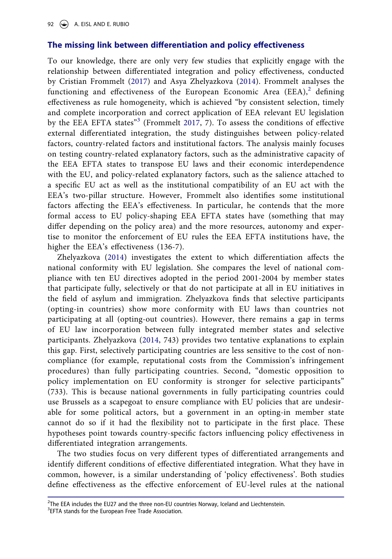## **The missing link between differentiation and policy effectiveness**

<span id="page-4-2"></span>To our knowledge, there are only very few studies that explicitly engage with the relationship between differentiated integration and policy effectiveness, conducted by Cristian Frommelt ([2017](#page-17-3)) and Asya Zhelyazkova [\(2014\)](#page-18-7). Frommelt analyses the functioning and effectiveness of the European Economic Area  $(EEA)<sup>2</sup>$  defining effectiveness as rule homogeneity, which is achieved "by consistent selection, timely and complete incorporation and correct application of EEA relevant EU legislation by the EEA EFTA states"[3](#page-4-1) (Frommelt [2017,](#page-17-3) 7). To assess the conditions of effective external differentiated integration, the study distinguishes between policy-related factors, country-related factors and institutional factors. The analysis mainly focuses on testing country-related explanatory factors, such as the administrative capacity of the EEA EFTA states to transpose EU laws and their economic interdependence with the EU, and policy-related explanatory factors, such as the salience attached to a specific EU act as well as the institutional compatibility of an EU act with the EEA's two-pillar structure. However, Frommelt also identifies some institutional factors affecting the EEA's effectiveness. In particular, he contends that the more formal access to EU policy-shaping EEA EFTA states have (something that may differ depending on the policy area) and the more resources, autonomy and expertise to monitor the enforcement of EU rules the EEA EFTA institutions have, the higher the EEA's effectiveness (136-7).

<span id="page-4-3"></span>Zhelyazkova [\(2014](#page-18-7)) investigates the extent to which differentiation affects the national conformity with EU legislation. She compares the level of national compliance with ten EU directives adopted in the period 2001-2004 by member states that participate fully, selectively or that do not participate at all in EU initiatives in the field of asylum and immigration. Zhelyazkova finds that selective participants (opting-in countries) show more conformity with EU laws than countries not participating at all (opting-out countries). However, there remains a gap in terms of EU law incorporation between fully integrated member states and selective participants. Zhelyazkova [\(2014,](#page-18-7) 743) provides two tentative explanations to explain this gap. First, selectively participating countries are less sensitive to the cost of noncompliance (for example, reputational costs from the Commission's infringement procedures) than fully participating countries. Second, "domestic opposition to policy implementation on EU conformity is stronger for selective participants" (733). This is because national governments in fully participating countries could use Brussels as a scapegoat to ensure compliance with EU policies that are undesirable for some political actors, but a government in an opting-in member state cannot do so if it had the flexibility not to participate in the first place. These hypotheses point towards country-specific factors influencing policy effectiveness in differentiated integration arrangements.

The two studies focus on very different types of differentiated arrangements and identify different conditions of effective differentiated integration. What they have in common, however, is a similar understanding of 'policy effectiveness'. Both studies define effectiveness as the effective enforcement of EU-level rules at the national

<span id="page-4-0"></span><sup>&</sup>lt;sup>2</sup>The EEA includes the EU27 and the three non-EU countries Norway, Iceland and Liechtenstein.<br><sup>3</sup>EETA stands for the European Esse Trade Association.

<span id="page-4-1"></span><sup>&</sup>lt;sup>3</sup> EFTA stands for the European Free Trade Association.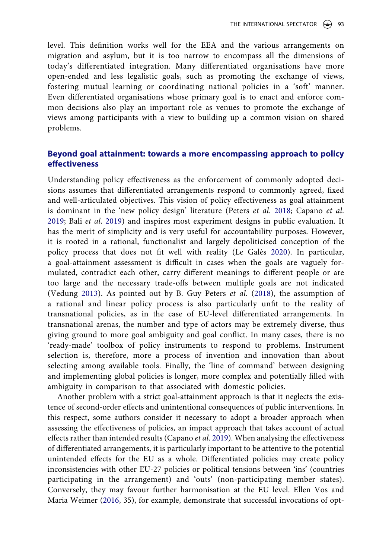level. This definition works well for the EEA and the various arrangements on migration and asylum, but it is too narrow to encompass all the dimensions of today's differentiated integration. Many differentiated organisations have more open-ended and less legalistic goals, such as promoting the exchange of views, fostering mutual learning or coordinating national policies in a 'soft' manner. Even differentiated organisations whose primary goal is to enact and enforce common decisions also play an important role as venues to promote the exchange of views among participants with a view to building up a common vision on shared problems.

## **Beyond goal attainment: towards a more encompassing approach to policy effectiveness**

<span id="page-5-2"></span><span id="page-5-0"></span>Understanding policy effectiveness as the enforcement of commonly adopted decisions assumes that differentiated arrangements respond to commonly agreed, fixed and well-articulated objectives. This vision of policy effectiveness as goal attainment is dominant in the 'new policy design' literature (Peters *et al*. [2018;](#page-18-8) Capano *et al*. [2019;](#page-17-4) Bali *et al*. [2019](#page-17-5)) and inspires most experiment designs in public evaluation. It has the merit of simplicity and is very useful for accountability purposes. However, it is rooted in a rational, functionalist and largely depoliticised conception of the policy process that does not fit well with reality (Le Galès [2020\)](#page-18-9). In particular, a goal-attainment assessment is difficult in cases when the goals are vaguely formulated, contradict each other, carry different meanings to different people or are too large and the necessary trade-offs between multiple goals are not indicated (Vedung [2013](#page-18-10)). As pointed out by B. Guy Peters *et al*. [\(2018\)](#page-18-8), the assumption of a rational and linear policy process is also particularly unfit to the reality of transnational policies, as in the case of EU-level differentiated arrangements. In transnational arenas, the number and type of actors may be extremely diverse, thus giving ground to more goal ambiguity and goal conflict. In many cases, there is no 'ready-made' toolbox of policy instruments to respond to problems. Instrument selection is, therefore, more a process of invention and innovation than about selecting among available tools. Finally, the 'line of command' between designing and implementing global policies is longer, more complex and potentially filled with ambiguity in comparison to that associated with domestic policies.

<span id="page-5-4"></span><span id="page-5-3"></span><span id="page-5-1"></span>Another problem with a strict goal-attainment approach is that it neglects the existence of second-order effects and unintentional consequences of public interventions. In this respect, some authors consider it necessary to adopt a broader approach when assessing the effectiveness of policies, an impact approach that takes account of actual effects rather than intended results (Capano *et al*. [2019](#page-17-4)). When analysing the effectiveness of differentiated arrangements, it is particularly important to be attentive to the potential unintended effects for the EU as a whole. Differentiated policies may create policy inconsistencies with other EU-27 policies or political tensions between 'ins' (countries participating in the arrangement) and 'outs' (non-participating member states). Conversely, they may favour further harmonisation at the EU level. Ellen Vos and Maria Weimer ([2016,](#page-18-11) 35), for example, demonstrate that successful invocations of opt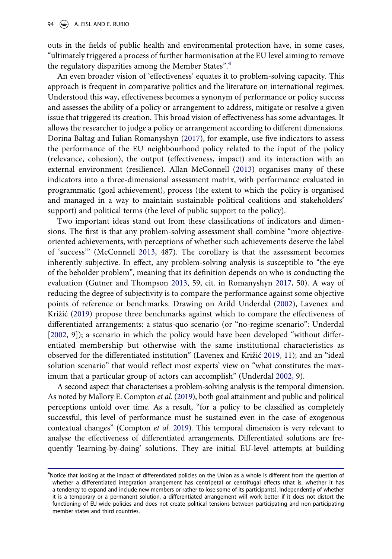outs in the fields of public health and environmental protection have, in some cases, "ultimately triggered a process of further harmonisation at the EU level aiming to remove the regulatory disparities among the Member States".[4](#page-6-0)

<span id="page-6-1"></span>An even broader vision of 'effectiveness' equates it to problem-solving capacity. This approach is frequent in comparative politics and the literature on international regimes. Understood this way, effectiveness becomes a synonym of performance or policy success and assesses the ability of a policy or arrangement to address, mitigate or resolve a given issue that triggered its creation. This broad vision of effectiveness has some advantages. It allows the researcher to judge a policy or arrangement according to different dimensions. Dorina Baltag and Iulian Romanyshyn ([2017\)](#page-17-6), for example, use five indicators to assess the performance of the EU neighbourhood policy related to the input of the policy (relevance, cohesion), the output (effectiveness, impact) and its interaction with an external environment (resilience). Allan McConnell ([2013](#page-18-12)) organises many of these indicators into a three-dimensional assessment matrix, with performance evaluated in programmatic (goal achievement), process (the extent to which the policy is organised and managed in a way to maintain sustainable political coalitions and stakeholders' support) and political terms (the level of public support to the policy).

<span id="page-6-4"></span><span id="page-6-3"></span>Two important ideas stand out from these classifications of indicators and dimensions. The first is that any problem-solving assessment shall combine "more objectiveoriented achievements, with perceptions of whether such achievements deserve the label of 'success'" (McConnell [2013](#page-18-12), 487). The corollary is that the assessment becomes inherently subjective. In effect, any problem-solving analysis is susceptible to "the eye of the beholder problem", meaning that its definition depends on who is conducting the evaluation (Gutner and Thompson [2013,](#page-17-7) 59, cit. in Romanyshyn [2017](#page-18-13), 50). A way of reducing the degree of subjectivity is to compare the performance against some objective points of reference or benchmarks. Drawing on Arild Underdal [\(2002](#page-18-14)), Lavenex and Križić ([2019\)](#page-18-6) propose three benchmarks against which to compare the effectiveness of differentiated arrangements: a status-quo scenario (or "no-regime scenario": Underdal [[2002,](#page-18-14) 9]); a scenario in which the policy would have been developed "without differentiated membership but otherwise with the same institutional characteristics as observed for the differentiated institution" (Lavenex and Križić [2019](#page-18-6), 11); and an "ideal solution scenario" that would reflect most experts' view on "what constitutes the maximum that a particular group of actors can accomplish" (Underdal [2002](#page-18-14), 9).

<span id="page-6-5"></span><span id="page-6-2"></span>A second aspect that characterises a problem-solving analysis is the temporal dimension. As noted by Mallory E. Compton *et al*. [\(2019](#page-17-8)), both goal attainment and public and political perceptions unfold over time. As a result, "for a policy to be classified as completely successful, this level of performance must be sustained even in the case of exogenous contextual changes" (Compton *et al*. [2019](#page-17-8)). This temporal dimension is very relevant to analyse the effectiveness of differentiated arrangements. Differentiated solutions are frequently 'learning-by-doing' solutions. They are initial EU-level attempts at building

<span id="page-6-0"></span><sup>4</sup> Notice that looking at the impact of differentiated policies on the Union as a whole is different from the question of whether a differentiated integration arrangement has centripetal or centrifugal effects (that is, whether it has a tendency to expand and include new members or rather to lose some of its participants). Independently of whether it is a temporary or a permanent solution, a differentiated arrangement will work better if it does not distort the functioning of EU-wide policies and does not create political tensions between participating and non-participating member states and third countries.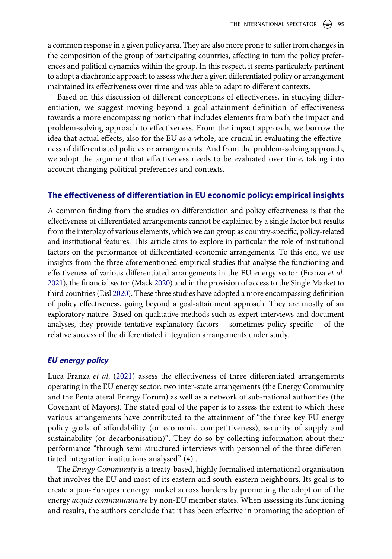a common response in a given policy area. They are also more prone to suffer from changes in the composition of the group of participating countries, affecting in turn the policy preferences and political dynamics within the group. In this respect, it seems particularly pertinent to adopt a diachronic approach to assess whether a given differentiated policy or arrangement maintained its effectiveness over time and was able to adapt to different contexts.

Based on this discussion of different conceptions of effectiveness, in studying differentiation, we suggest moving beyond a goal-attainment definition of effectiveness towards a more encompassing notion that includes elements from both the impact and problem-solving approach to effectiveness. From the impact approach, we borrow the idea that actual effects, also for the EU as a whole, are crucial in evaluating the effectiveness of differentiated policies or arrangements. And from the problem-solving approach, we adopt the argument that effectiveness needs to be evaluated over time, taking into account changing political preferences and contexts.

#### **The effectiveness of differentiation in EU economic policy: empirical insights**

A common finding from the studies on differentiation and policy effectiveness is that the effectiveness of differentiated arrangements cannot be explained by a single factor but results from the interplay of various elements, which we can group as country-specific, policy-related and institutional features. This article aims to explore in particular the role of institutional factors on the performance of differentiated economic arrangements. To this end, we use insights from the three aforementioned empirical studies that analyse the functioning and effectiveness of various differentiated arrangements in the EU energy sector (Franza *et al*. [2021](#page-17-1)), the financial sector (Mack [2020\)](#page-18-5) and in the provision of access to the Single Market to third countries (Eisl [2020](#page-17-2)). These three studies have adopted a more encompassing definition of policy effectiveness, going beyond a goal-attainment approach. They are mostly of an exploratory nature. Based on qualitative methods such as expert interviews and document analyses, they provide tentative explanatory factors – sometimes policy-specific – of the relative success of the differentiated integration arrangements under study.

#### *EU energy policy*

Luca Franza *et al*. [\(2021\)](#page-17-1) assess the effectiveness of three differentiated arrangements operating in the EU energy sector: two inter-state arrangements (the Energy Community and the Pentalateral Energy Forum) as well as a network of sub-national authorities (the Covenant of Mayors). The stated goal of the paper is to assess the extent to which these various arrangements have contributed to the attainment of "the three key EU energy policy goals of affordability (or economic competitiveness), security of supply and sustainability (or decarbonisation)". They do so by collecting information about their performance "through semi-structured interviews with personnel of the three differentiated integration institutions analysed" (4) .

The *Energy Community* is a treaty-based, highly formalised international organisation that involves the EU and most of its eastern and south-eastern neighbours. Its goal is to create a pan-European energy market across borders by promoting the adoption of the energy *acquis communautaire* by non-EU member states. When assessing its functioning and results, the authors conclude that it has been effective in promoting the adoption of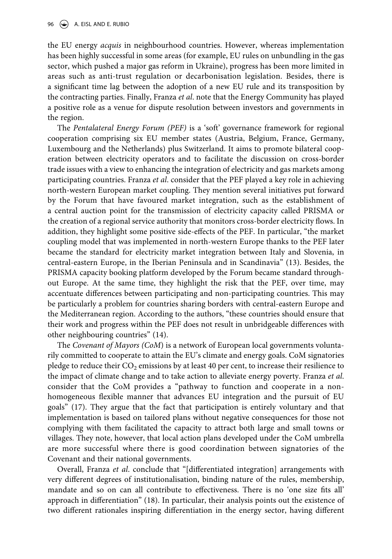the EU energy *acquis* in neighbourhood countries. However, whereas implementation has been highly successful in some areas (for example, EU rules on unbundling in the gas sector, which pushed a major gas reform in Ukraine), progress has been more limited in areas such as anti-trust regulation or decarbonisation legislation. Besides, there is a significant time lag between the adoption of a new EU rule and its transposition by the contracting parties. Finally, Franza *et al*. note that the Energy Community has played a positive role as a venue for dispute resolution between investors and governments in the region.

The *Pentalateral Energy Forum (PEF)* is a 'soft' governance framework for regional cooperation comprising six EU member states (Austria, Belgium, France, Germany, Luxembourg and the Netherlands) plus Switzerland. It aims to promote bilateral cooperation between electricity operators and to facilitate the discussion on cross-border trade issues with a view to enhancing the integration of electricity and gas markets among participating countries. Franza *et al*. consider that the PEF played a key role in achieving north-western European market coupling. They mention several initiatives put forward by the Forum that have favoured market integration, such as the establishment of a central auction point for the transmission of electricity capacity called PRISMA or the creation of a regional service authority that monitors cross-border electricity flows. In addition, they highlight some positive side-effects of the PEF. In particular, "the market coupling model that was implemented in north-western Europe thanks to the PEF later became the standard for electricity market integration between Italy and Slovenia, in central-eastern Europe, in the Iberian Peninsula and in Scandinavia" (13). Besides, the PRISMA capacity booking platform developed by the Forum became standard throughout Europe. At the same time, they highlight the risk that the PEF, over time, may accentuate differences between participating and non-participating countries. This may be particularly a problem for countries sharing borders with central-eastern Europe and the Mediterranean region. According to the authors, "these countries should ensure that their work and progress within the PEF does not result in unbridgeable differences with other neighbouring countries" (14).

The *Covenant of Mayors (CoM*) is a network of European local governments voluntarily committed to cooperate to attain the EU's climate and energy goals. CoM signatories pledge to reduce their  $CO<sub>2</sub>$  emissions by at least 40 per cent, to increase their resilience to the impact of climate change and to take action to alleviate energy poverty. Franza *et al*. consider that the CoM provides a "pathway to function and cooperate in a nonhomogeneous flexible manner that advances EU integration and the pursuit of EU goals" (17). They argue that the fact that participation is entirely voluntary and that implementation is based on tailored plans without negative consequences for those not complying with them facilitated the capacity to attract both large and small towns or villages. They note, however, that local action plans developed under the CoM umbrella are more successful where there is good coordination between signatories of the Covenant and their national governments.

Overall, Franza *et al*. conclude that "[differentiated integration] arrangements with very different degrees of institutionalisation, binding nature of the rules, membership, mandate and so on can all contribute to effectiveness. There is no 'one size fits all' approach in differentiation" (18). In particular, their analysis points out the existence of two different rationales inspiring differentiation in the energy sector, having different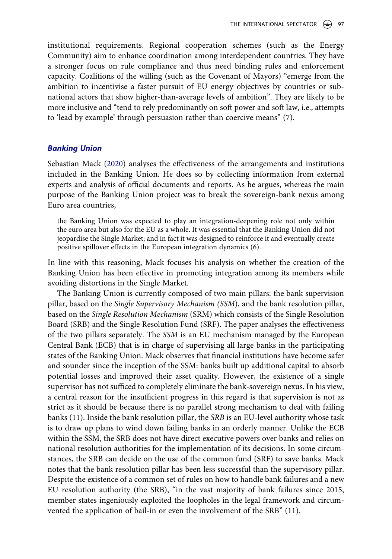institutional requirements. Regional cooperation schemes (such as the Energy Community) aim to enhance coordination among interdependent countries. They have a stronger focus on rule compliance and thus need binding rules and enforcement capacity. Coalitions of the willing (such as the Covenant of Mayors) "emerge from the ambition to incentivise a faster pursuit of EU energy objectives by countries or subnational actors that show higher-than-average levels of ambition". They are likely to be more inclusive and "tend to rely predominantly on soft power and soft law, i.e., attempts to 'lead by example' through persuasion rather than coercive means" (7).

#### *Banking Union*

Sebastian Mack ([2020\)](#page-18-5) analyses the effectiveness of the arrangements and institutions included in the Banking Union. He does so by collecting information from external experts and analysis of official documents and reports. As he argues, whereas the main purpose of the Banking Union project was to break the sovereign-bank nexus among Euro area countries,

the Banking Union was expected to play an integration-deepening role not only within the euro area but also for the EU as a whole. It was essential that the Banking Union did not jeopardise the Single Market; and in fact it was designed to reinforce it and eventually create positive spillover effects in the European integration dynamics (6).

In line with this reasoning, Mack focuses his analysis on whether the creation of the Banking Union has been effective in promoting integration among its members while avoiding distortions in the Single Market.

The Banking Union is currently composed of two main pillars: the bank supervision pillar, based on the *Single Supervisory Mechanism (SSM*), and the bank resolution pillar, based on the *Single Resolution Mechanism* (SRM) which consists of the Single Resolution Board (SRB) and the Single Resolution Fund (SRF). The paper analyses the effectiveness of the two pillars separately. The *SSM* is an EU mechanism managed by the European Central Bank (ECB) that is in charge of supervising all large banks in the participating states of the Banking Union. Mack observes that financial institutions have become safer and sounder since the inception of the SSM: banks built up additional capital to absorb potential losses and improved their asset quality. However, the existence of a single supervisor has not sufficed to completely eliminate the bank-sovereign nexus. In his view, a central reason for the insufficient progress in this regard is that supervision is not as strict as it should be because there is no parallel strong mechanism to deal with failing banks (11). Inside the bank resolution pillar, the *SRB* is an EU-level authority whose task is to draw up plans to wind down failing banks in an orderly manner. Unlike the ECB within the SSM, the SRB does not have direct executive powers over banks and relies on national resolution authorities for the implementation of its decisions. In some circumstances, the SRB can decide on the use of the common fund (SRF) to save banks. Mack notes that the bank resolution pillar has been less successful than the supervisory pillar. Despite the existence of a common set of rules on how to handle bank failures and a new EU resolution authority (the SRB), "in the vast majority of bank failures since 2015, member states ingeniously exploited the loopholes in the legal framework and circumvented the application of bail-in or even the involvement of the SRB" (11).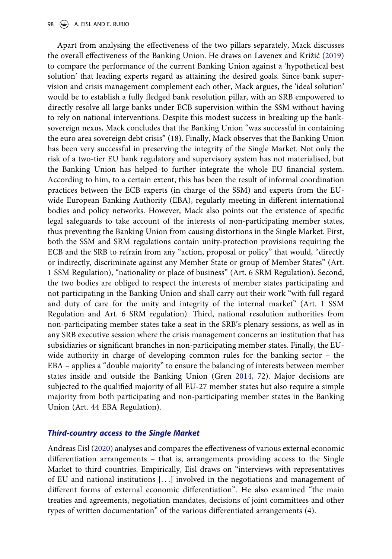Apart from analysing the effectiveness of the two pillars separately, Mack discusses the overall effectiveness of the Banking Union. He draws on Lavenex and Križić [\(2019\)](#page-18-6) to compare the performance of the current Banking Union against a 'hypothetical best solution' that leading experts regard as attaining the desired goals. Since bank supervision and crisis management complement each other, Mack argues, the 'ideal solution' would be to establish a fully fledged bank resolution pillar, with an SRB empowered to directly resolve all large banks under ECB supervision within the SSM without having to rely on national interventions. Despite this modest success in breaking up the banksovereign nexus, Mack concludes that the Banking Union "was successful in containing the euro area sovereign debt crisis" (18). Finally, Mack observes that the Banking Union has been very successful in preserving the integrity of the Single Market. Not only the risk of a two-tier EU bank regulatory and supervisory system has not materialised, but the Banking Union has helped to further integrate the whole EU financial system. According to him, to a certain extent, this has been the result of informal coordination practices between the ECB experts (in charge of the SSM) and experts from the EUwide European Banking Authority (EBA), regularly meeting in different international bodies and policy networks. However, Mack also points out the existence of specific legal safeguards to take account of the interests of non-participating member states, thus preventing the Banking Union from causing distortions in the Single Market. First, both the SSM and SRM regulations contain unity-protection provisions requiring the ECB and the SRB to refrain from any "action, proposal or policy" that would, "directly or indirectly, discriminate against any Member State or group of Member States" (Art. 1 SSM Regulation), "nationality or place of business" (Art. 6 SRM Regulation). Second, the two bodies are obliged to respect the interests of member states participating and not participating in the Banking Union and shall carry out their work "with full regard and duty of care for the unity and integrity of the internal market" (Art. 1 SSM Regulation and Art. 6 SRM regulation). Third, national resolution authorities from non-participating member states take a seat in the SRB's plenary sessions, as well as in any SRB executive session where the crisis management concerns an institution that has subsidiaries or significant branches in non-participating member states. Finally, the EUwide authority in charge of developing common rules for the banking sector – the EBA – applies a "double majority" to ensure the balancing of interests between member states inside and outside the Banking Union (Gren [2014,](#page-17-9) 72). Major decisions are subjected to the qualified majority of all EU-27 member states but also require a simple majority from both participating and non-participating member states in the Banking Union (Art. 44 EBA Regulation).

#### <span id="page-10-0"></span>*Third-country access to the Single Market*

Andreas Eisl ([2020\)](#page-17-2) analyses and compares the effectiveness of various external economic differentiation arrangements – that is, arrangements providing access to the Single Market to third countries. Empirically, Eisl draws on "interviews with representatives of EU and national institutions [. . .] involved in the negotiations and management of different forms of external economic differentiation". He also examined "the main treaties and agreements, negotiation mandates, decisions of joint committees and other types of written documentation" of the various differentiated arrangements (4).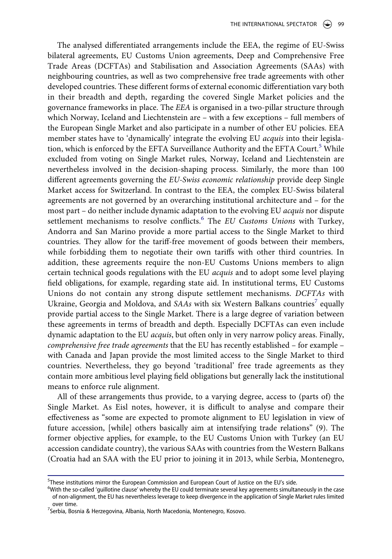The analysed differentiated arrangements include the EEA, the regime of EU-Swiss bilateral agreements, EU Customs Union agreements, Deep and Comprehensive Free Trade Areas (DCFTAs) and Stabilisation and Association Agreements (SAAs) with neighbouring countries, as well as two comprehensive free trade agreements with other developed countries. These different forms of external economic differentiation vary both in their breadth and depth, regarding the covered Single Market policies and the governance frameworks in place. The *EEA* is organised in a two-pillar structure through which Norway, Iceland and Liechtenstein are – with a few exceptions – full members of the European Single Market and also participate in a number of other EU policies. EEA member states have to 'dynamically' integrate the evolving EU *acquis* into their legisla-tion, which is enforced by the EFTA Surveillance Authority and the EFTA Court.<sup>[5](#page-11-0)</sup> While excluded from voting on Single Market rules, Norway, Iceland and Liechtenstein are nevertheless involved in the decision-shaping process. Similarly, the more than 100 different agreements governing the *EU-Swiss economic relationship* provide deep Single Market access for Switzerland. In contrast to the EEA, the complex EU-Swiss bilateral agreements are not governed by an overarching institutional architecture and – for the most part – do neither include dynamic adaptation to the evolving EU *acquis* nor dispute settlement mechanisms to resolve conflicts.[6](#page-11-1) The *EU Customs Unions* with Turkey, Andorra and San Marino provide a more partial access to the Single Market to third countries. They allow for the tariff-free movement of goods between their members, while forbidding them to negotiate their own tariffs with other third countries. In addition, these agreements require the non-EU Customs Unions members to align certain technical goods regulations with the EU *acquis* and to adopt some level playing field obligations, for example, regarding state aid. In institutional terms, EU Customs Unions do not contain any strong dispute settlement mechanisms. *DCFTAs* with Ukraine, Georgia and Moldova, and *SAAs* with six Western Balkans countries<sup>7</sup> equally provide partial access to the Single Market. There is a large degree of variation between these agreements in terms of breadth and depth. Especially DCFTAs can even include dynamic adaptation to the EU *acquis*, but often only in very narrow policy areas. Finally, *comprehensive free trade agreements* that the EU has recently established – for example – with Canada and Japan provide the most limited access to the Single Market to third countries. Nevertheless, they go beyond 'traditional' free trade agreements as they contain more ambitious level playing field obligations but generally lack the institutional means to enforce rule alignment.

All of these arrangements thus provide, to a varying degree, access to (parts of) the Single Market. As Eisl notes, however, it is difficult to analyse and compare their effectiveness as "some are expected to promote alignment to EU legislation in view of future accession, [while] others basically aim at intensifying trade relations" (9). The former objective applies, for example, to the EU Customs Union with Turkey (an EU accession candidate country), the various SAAs with countries from the Western Balkans (Croatia had an SAA with the EU prior to joining it in 2013, while Serbia, Montenegro,

<span id="page-11-0"></span><sup>&</sup>lt;sup>5</sup>These institutions mirror the European Commission and European Court of Justice on the EU's side.  $\frac{60}{100}$  side.

<span id="page-11-1"></span><sup>&</sup>lt;sup>6</sup>With the so-called 'guillotine clause' whereby the EU could terminate several key agreements simultaneously in the case of non-alignment, the EU has nevertheless leverage to keep divergence in the application of Single Market rules limited

<span id="page-11-2"></span>over time.<br><sup>7</sup>Serbia, Bosnia & Herzegovina, Albania, North Macedonia, Montenegro, Kosovo.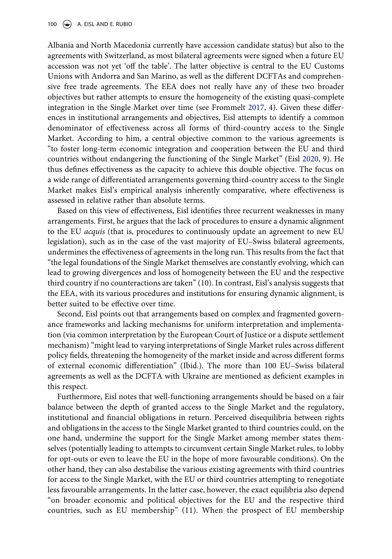Albania and North Macedonia currently have accession candidate status) but also to the agreements with Switzerland, as most bilateral agreements were signed when a future EU accession was not yet 'off the table'. The latter objective is central to the EU Customs Unions with Andorra and San Marino, as well as the different DCFTAs and comprehensive free trade agreements. The EEA does not really have any of these two broader objectives but rather attempts to ensure the homogeneity of the existing quasi-complete integration in the Single Market over time (see Frommelt [2017,](#page-17-3) 4). Given these differences in institutional arrangements and objectives, Eisl attempts to identify a common denominator of effectiveness across all forms of third-country access to the Single Market. According to him, a central objective common to the various agreements is "to foster long-term economic integration and cooperation between the EU and third countries without endangering the functioning of the Single Market" (Eisl [2020,](#page-17-2) 9). He thus defines effectiveness as the capacity to achieve this double objective. The focus on a wide range of differentiated arrangements governing third-country access to the Single Market makes Eisl's empirical analysis inherently comparative, where effectiveness is assessed in relative rather than absolute terms.

Based on this view of effectiveness, Eisl identifies three recurrent weaknesses in many arrangements. First, he argues that the lack of procedures to ensure a dynamic alignment to the EU *acquis* (that is, procedures to continuously update an agreement to new EU legislation), such as in the case of the vast majority of EU–Swiss bilateral agreements, undermines the effectiveness of agreements in the long run. This results from the fact that "the legal foundations of the Single Market themselves are constantly evolving, which can lead to growing divergences and loss of homogeneity between the EU and the respective third country if no counteractions are taken" (10). In contrast, Eisl's analysis suggests that the EEA, with its various procedures and institutions for ensuring dynamic alignment, is better suited to be effective over time.

Second, Eisl points out that arrangements based on complex and fragmented governance frameworks and lacking mechanisms for uniform interpretation and implementation (via common interpretation by the European Court of Justice or a dispute settlement mechanism) "might lead to varying interpretations of Single Market rules across different policy fields, threatening the homogeneity of the market inside and across different forms of external economic differentiation" (Ibid.). The more than 100 EU–Swiss bilateral agreements as well as the DCFTA with Ukraine are mentioned as deficient examples in this respect.

Furthermore, Eisl notes that well-functioning arrangements should be based on a fair balance between the depth of granted access to the Single Market and the regulatory, institutional and financial obligations in return. Perceived disequilibria between rights and obligations in the access to the Single Market granted to third countries could, on the one hand, undermine the support for the Single Market among member states themselves (potentially leading to attempts to circumvent certain Single Market rules, to lobby for opt-outs or even to leave the EU in the hope of more favourable conditions). On the other hand, they can also destabilise the various existing agreements with third countries for access to the Single Market, with the EU or third countries attempting to renegotiate less favourable arrangements. In the latter case, however, the exact equilibria also depend "on broader economic and political objectives for the EU and the respective third countries, such as EU membership" (11). When the prospect of EU membership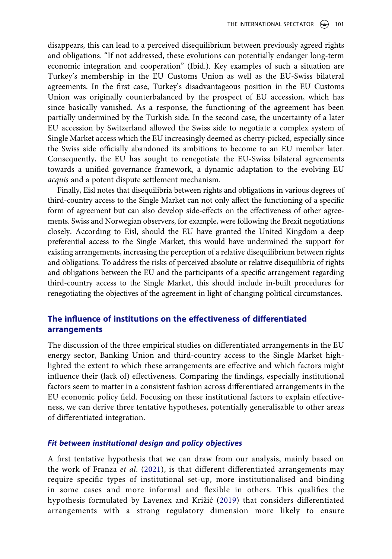disappears, this can lead to a perceived disequilibrium between previously agreed rights and obligations. "If not addressed, these evolutions can potentially endanger long-term economic integration and cooperation" (Ibid.). Key examples of such a situation are Turkey's membership in the EU Customs Union as well as the EU-Swiss bilateral agreements. In the first case, Turkey's disadvantageous position in the EU Customs Union was originally counterbalanced by the prospect of EU accession, which has since basically vanished. As a response, the functioning of the agreement has been partially undermined by the Turkish side. In the second case, the uncertainty of a later EU accession by Switzerland allowed the Swiss side to negotiate a complex system of Single Market access which the EU increasingly deemed as cherry-picked, especially since the Swiss side officially abandoned its ambitions to become to an EU member later. Consequently, the EU has sought to renegotiate the EU-Swiss bilateral agreements towards a unified governance framework, a dynamic adaptation to the evolving EU *acquis* and a potent dispute settlement mechanism.

Finally, Eisl notes that disequilibria between rights and obligations in various degrees of third-country access to the Single Market can not only affect the functioning of a specific form of agreement but can also develop side-effects on the effectiveness of other agreements. Swiss and Norwegian observers, for example, were following the Brexit negotiations closely. According to Eisl, should the EU have granted the United Kingdom a deep preferential access to the Single Market, this would have undermined the support for existing arrangements, increasing the perception of a relative disequilibrium between rights and obligations. To address the risks of perceived absolute or relative disequilibria of rights and obligations between the EU and the participants of a specific arrangement regarding third-country access to the Single Market, this should include in-built procedures for renegotiating the objectives of the agreement in light of changing political circumstances.

# **The influence of institutions on the effectiveness of differentiated arrangements**

The discussion of the three empirical studies on differentiated arrangements in the EU energy sector, Banking Union and third-country access to the Single Market highlighted the extent to which these arrangements are effective and which factors might influence their (lack of) effectiveness. Comparing the findings, especially institutional factors seem to matter in a consistent fashion across differentiated arrangements in the EU economic policy field. Focusing on these institutional factors to explain effectiveness, we can derive three tentative hypotheses, potentially generalisable to other areas of differentiated integration.

### *Fit between institutional design and policy objectives*

A first tentative hypothesis that we can draw from our analysis, mainly based on the work of Franza *et al*. [\(2021\)](#page-17-1), is that different differentiated arrangements may require specific types of institutional set-up, more institutionalised and binding in some cases and more informal and flexible in others. This qualifies the hypothesis formulated by Lavenex and Križić ([2019\)](#page-18-6) that considers differentiated arrangements with a strong regulatory dimension more likely to ensure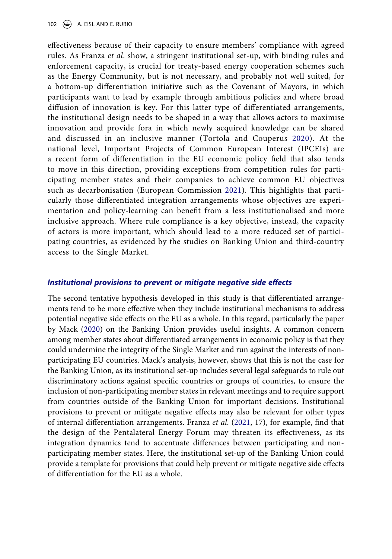effectiveness because of their capacity to ensure members' compliance with agreed rules. As Franza *et al*. show, a stringent institutional set-up, with binding rules and enforcement capacity, is crucial for treaty-based energy cooperation schemes such as the Energy Community, but is not necessary, and probably not well suited, for a bottom-up differentiation initiative such as the Covenant of Mayors, in which participants want to lead by example through ambitious policies and where broad diffusion of innovation is key. For this latter type of differentiated arrangements, the institutional design needs to be shaped in a way that allows actors to maximise innovation and provide fora in which newly acquired knowledge can be shared and discussed in an inclusive manner (Tortola and Couperus [2020\)](#page-18-4). At the national level, Important Projects of Common European Interest (IPCEIs) are a recent form of differentiation in the EU economic policy field that also tends to move in this direction, providing exceptions from competition rules for participating member states and their companies to achieve common EU objectives such as decarbonisation (European Commission [2021](#page-17-10)). This highlights that particularly those differentiated integration arrangements whose objectives are experimentation and policy-learning can benefit from a less institutionalised and more inclusive approach. Where rule compliance is a key objective, instead, the capacity of actors is more important, which should lead to a more reduced set of participating countries, as evidenced by the studies on Banking Union and third-country access to the Single Market.

#### <span id="page-14-0"></span>*Institutional provisions to prevent or mitigate negative side effects*

The second tentative hypothesis developed in this study is that differentiated arrangements tend to be more effective when they include institutional mechanisms to address potential negative side effects on the EU as a whole. In this regard, particularly the paper by Mack ([2020\)](#page-18-5) on the Banking Union provides useful insights. A common concern among member states about differentiated arrangements in economic policy is that they could undermine the integrity of the Single Market and run against the interests of nonparticipating EU countries. Mack's analysis, however, shows that this is not the case for the Banking Union, as its institutional set-up includes several legal safeguards to rule out discriminatory actions against specific countries or groups of countries, to ensure the inclusion of non-participating member states in relevant meetings and to require support from countries outside of the Banking Union for important decisions. Institutional provisions to prevent or mitigate negative effects may also be relevant for other types of internal differentiation arrangements. Franza *et al*. ([2021](#page-17-1), 17), for example, find that the design of the Pentalateral Energy Forum may threaten its effectiveness, as its integration dynamics tend to accentuate differences between participating and nonparticipating member states. Here, the institutional set-up of the Banking Union could provide a template for provisions that could help prevent or mitigate negative side effects of differentiation for the EU as a whole.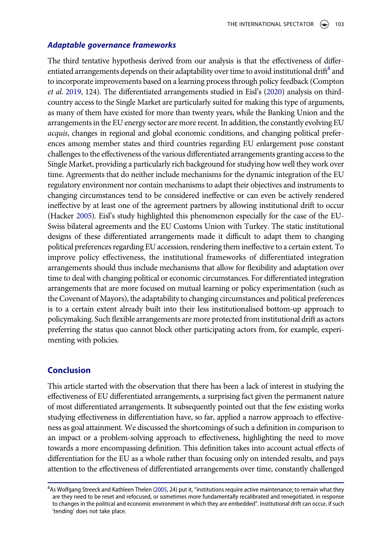#### *Adaptable governance frameworks*

<span id="page-15-1"></span>The third tentative hypothesis derived from our analysis is that the effectiveness of differentiated arrangements depends on their adaptability over time to avoid institutional drift<sup>8</sup> and to incorporate improvements based on a learning process through policy feedback (Compton *et al*. [2019,](#page-17-8) 124). The differentiated arrangements studied in Eisl's ([2020\)](#page-17-2) analysis on thirdcountry access to the Single Market are particularly suited for making this type of arguments, as many of them have existed for more than twenty years, while the Banking Union and the arrangements in the EU energy sector are more recent. In addition, the constantly evolving EU *acquis*, changes in regional and global economic conditions, and changing political preferences among member states and third countries regarding EU enlargement pose constant challenges to the effectiveness of the various differentiated arrangements granting access to the Single Market, providing a particularly rich background for studying how well they work over time. Agreements that do neither include mechanisms for the dynamic integration of the EU regulatory environment nor contain mechanisms to adapt their objectives and instruments to changing circumstances tend to be considered ineffective or can even be actively rendered ineffective by at least one of the agreement partners by allowing institutional drift to occur (Hacker [2005](#page-17-11)). Eisl's study highlighted this phenomenon especially for the case of the EU-Swiss bilateral agreements and the EU Customs Union with Turkey. The static institutional designs of these differentiated arrangements made it difficult to adapt them to changing political preferences regarding EU accession, rendering them ineffective to a certain extent. To improve policy effectiveness, the institutional frameworks of differentiated integration arrangements should thus include mechanisms that allow for flexibility and adaptation over time to deal with changing political or economic circumstances. For differentiated integration arrangements that are more focused on mutual learning or policy experimentation (such as the Covenant of Mayors), the adaptability to changing circumstances and political preferences is to a certain extent already built into their less institutionalised bottom-up approach to policymaking. Such flexible arrangements are more protected from institutional drift as actors preferring the status quo cannot block other participating actors from, for example, experimenting with policies.

#### **Conclusion**

This article started with the observation that there has been a lack of interest in studying the effectiveness of EU differentiated arrangements, a surprising fact given the permanent nature of most differentiated arrangements. It subsequently pointed out that the few existing works studying effectiveness in differentiation have, so far, applied a narrow approach to effectiveness as goal attainment. We discussed the shortcomings of such a definition in comparison to an impact or a problem-solving approach to effectiveness, highlighting the need to move towards a more encompassing definition. This definition takes into account actual effects of differentiation for the EU as a whole rather than focusing only on intended results, and pays attention to the effectiveness of differentiated arrangements over time, constantly challenged

<span id="page-15-0"></span><sup>&</sup>lt;sup>8</sup>As Wolfgang Streeck and Kathleen Thelen ([2005](#page-18-15), 24) put it, "institutions require active maintenance; to remain what they are they need to be reset and refocused, or sometimes more fundamentally recalibrated and renegotiated, in response to changes in the political and economic environment in which they are embedded". Institutional drift can occur, if such 'tending' does not take place.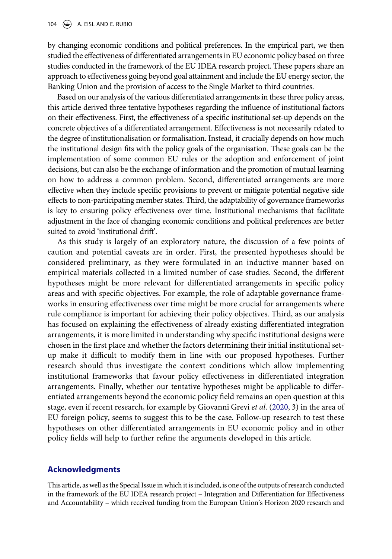by changing economic conditions and political preferences. In the empirical part, we then studied the effectiveness of differentiated arrangements in EU economic policy based on three studies conducted in the framework of the EU IDEA research project. These papers share an approach to effectiveness going beyond goal attainment and include the EU energy sector, the Banking Union and the provision of access to the Single Market to third countries.

Based on our analysis of the various differentiated arrangements in these three policy areas, this article derived three tentative hypotheses regarding the influence of institutional factors on their effectiveness. First, the effectiveness of a specific institutional set-up depends on the concrete objectives of a differentiated arrangement. Effectiveness is not necessarily related to the degree of institutionalisation or formalisation. Instead, it crucially depends on how much the institutional design fits with the policy goals of the organisation. These goals can be the implementation of some common EU rules or the adoption and enforcement of joint decisions, but can also be the exchange of information and the promotion of mutual learning on how to address a common problem. Second, differentiated arrangements are more effective when they include specific provisions to prevent or mitigate potential negative side effects to non-participating member states. Third, the adaptability of governance frameworks is key to ensuring policy effectiveness over time. Institutional mechanisms that facilitate adjustment in the face of changing economic conditions and political preferences are better suited to avoid 'institutional drift'.

As this study is largely of an exploratory nature, the discussion of a few points of caution and potential caveats are in order. First, the presented hypotheses should be considered preliminary, as they were formulated in an inductive manner based on empirical materials collected in a limited number of case studies. Second, the different hypotheses might be more relevant for differentiated arrangements in specific policy areas and with specific objectives. For example, the role of adaptable governance frameworks in ensuring effectiveness over time might be more crucial for arrangements where rule compliance is important for achieving their policy objectives. Third, as our analysis has focused on explaining the effectiveness of already existing differentiated integration arrangements, it is more limited in understanding why specific institutional designs were chosen in the first place and whether the factors determining their initial institutional setup make it difficult to modify them in line with our proposed hypotheses. Further research should thus investigate the context conditions which allow implementing institutional frameworks that favour policy effectiveness in differentiated integration arrangements. Finally, whether our tentative hypotheses might be applicable to differentiated arrangements beyond the economic policy field remains an open question at this stage, even if recent research, for example by Giovanni Grevi *et al*. [\(2020,](#page-17-12) 3) in the area of EU foreign policy, seems to suggest this to be the case. Follow-up research to test these hypotheses on other differentiated arrangements in EU economic policy and in other policy fields will help to further refine the arguments developed in this article.

### <span id="page-16-0"></span>**Acknowledgments**

This article, as well as the Special Issue in which it is included, is one of the outputs of research conducted in the framework of the EU IDEA research project – Integration and Differentiation for Effectiveness and Accountability – which received funding from the European Union's Horizon 2020 research and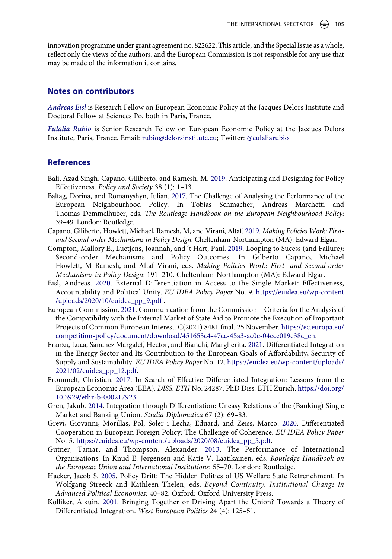innovation programme under grant agreement no. 822622. This article, and the Special Issue as a whole, reflect only the views of the authors, and the European Commission is not responsible for any use that may be made of the information it contains.

### **Notes on contributors**

*Andreas Eisl* is Research Fellow on European Economic Policy at the Jacques Delors Institute and Doctoral Fellow at Sciences Po, both in Paris, France.

*Eulalia Rubio* is Senior Research Fellow on European Economic Policy at the Jacques Delors Institute, Paris, France. Email: rubio@delorsinstitute.eu; Twitter: [@eulaliarubio](https://twitter.com/eulaliarubio)

## **References**

- <span id="page-17-5"></span>Bali, Azad Singh, Capano, Giliberto, and Ramesh, M. [2019](#page-5-0). Anticipating and Designing for Policy Effectiveness. *Policy and Society* 38 (1): 1–13.
- <span id="page-17-6"></span>Baltag, Dorina, and Romanyshyn, Iulian. [2017.](#page-6-1) The Challenge of Analysing the Performance of the European Neighbourhood Policy. In Tobias Schmacher, Andreas Marchetti and Thomas Demmelhuber, eds. *The Routledge Handbook on the European Neighbourhood Policy*: 39–49. London: Routledge.
- <span id="page-17-4"></span>Capano, Giliberto, Howlett, Michael, Ramesh, M, and Virani, Altaf. [2019](#page-5-1). *Making Policies Work: Firstand Second-order Mechanisms in Policy Design*. Cheltenham-Northampton (MA): Edward Elgar.
- <span id="page-17-8"></span>Compton, Mallory E., Luetjens, Joannah, and 't Hart, Paul. [2019](#page-6-2). Looping to Sucess (and Failure): Second-order Mechanisms and Policy Outcomes. In Gilberto Capano, Michael Howlett, M Ramesh, and Altaf Virani, eds. *Making Policies Work: First- and Second-order Mechanisms in Policy Design*: 191–210. Cheltenham-Northampton (MA): Edward Elgar.
- <span id="page-17-2"></span>Eisl, Andreas. [2020](#page-3-1). External Differentiation in Access to the Single Market: Effectiveness, Accountability and Political Unity. *EU IDEA Policy Paper* No. 9. [https://euidea.eu/wp-content](https://euidea.eu/wp-content/uploads/2020/10/euidea_pp_9.pdf) [/uploads/2020/10/euidea\\_pp\\_9.pdf](https://euidea.eu/wp-content/uploads/2020/10/euidea_pp_9.pdf) .
- <span id="page-17-10"></span>European Commission. [2021](#page-14-0). Communication from the Commission – Criteria for the Analysis of the Compatibility with the Internal Market of State Aid to Promote the Execution of Important Projects of Common European Interest. C(2021) 8481 final. 25 November. [https://ec.europa.eu/](https://ec.europa.eu/competition-policy/document/download/451653c4-47cc-45a3-ac0e-04ece019e38c_en) [competition-policy/document/download/451653c4-47cc-45a3-ac0e-04ece019e38c\\_en.](https://ec.europa.eu/competition-policy/document/download/451653c4-47cc-45a3-ac0e-04ece019e38c_en)
- <span id="page-17-1"></span>Franza, Luca, Sánchez Margalef, Héctor, and Bianchi, Margherita. [2021.](#page-3-2) Differentiated Integration in the Energy Sector and Its Contribution to the European Goals of Affordability, Security of Supply and Sustainability. *EU IDEA Policy Paper* No. 12. [https://euidea.eu/wp-content/uploads/](https://euidea.eu/wp-content/uploads/2021/02/euidea_pp_12.pdf) [2021/02/euidea\\_pp\\_12.pdf](https://euidea.eu/wp-content/uploads/2021/02/euidea_pp_12.pdf).
- <span id="page-17-3"></span>Frommelt, Christian. [2017](#page-4-2). In Search of Effective Differentiated Integration: Lessons from the European Economic Area (EEA). *DISS. ETH* No. 24287. PhD Diss. ETH Zurich. [https://doi.org/](https://doi.org/10.3929/ethz-b-000217923) [10.3929/ethz-b-000217923](https://doi.org/10.3929/ethz-b-000217923).
- <span id="page-17-9"></span>Gren, Jakub. [2014](#page-10-0). Integration through Differentiation: Uneasy Relations of the (Banking) Single Market and Banking Union. *Studia Diplomatica* 67 (2): 69–83.
- <span id="page-17-12"></span>Grevi, Giovanni, Morillas, Pol, Soler i Lecha, Eduard, and Zeiss, Marco. [2020.](#page-16-0) Differentiated Cooperation in European Foreign Policy: The Challenge of Coherence. *EU IDEA Policy Paper*  No. 5. [https://euidea.eu/wp-content/uploads/2020/08/euidea\\_pp\\_5.pdf.](https://euidea.eu/wp-content/uploads/2020/08/euidea_pp_5.pdf)
- <span id="page-17-7"></span>Gutner, Tamar, and Thompson, Alexander. [2013](#page-6-3). The Performance of International Organisations. In Knud E. Jørgensen and Katie V. Laatikainen, eds. *Routledge Handbook on the European Union and International Institutions*: 55–70. London: Routledge.
- <span id="page-17-11"></span>Hacker, Jacob S. [2005.](#page-15-1) Policy Drift: The Hidden Politics of US Welfare State Retrenchment. In Wolfgang Streeck and Kathleen Thelen, eds. *Beyond Continuity. Institutional Change in Advanced Political Economies*: 40–82. Oxford: Oxford University Press.
- <span id="page-17-0"></span>Kölliker, Alkuin. [2001.](#page-2-1) Bringing Together or Driving Apart the Union? Towards a Theory of Differentiated Integration. *West European Politics* 24 (4): 125–51.